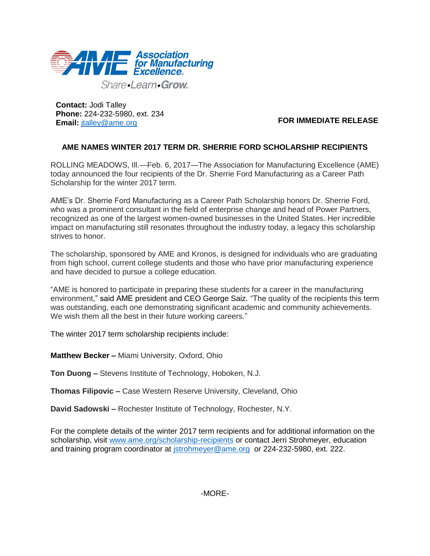

Share-Learn-Grow

**Contact:** Jodi Talley **Phone:** 224-232-5980, ext. 234 **Email:** [jtalley@ame.org](mailto:jtalley@ame.org)

**FOR IMMEDIATE RELEASE**

## **AME NAMES WINTER 2017 TERM DR. SHERRIE FORD SCHOLARSHIP RECIPIENTS**

ROLLING MEADOWS, Ill.—Feb. 6, 2017—The Association for Manufacturing Excellence (AME) today announced the four recipients of the Dr. Sherrie Ford Manufacturing as a Career Path Scholarship for the winter 2017 term.

AME's Dr. Sherrie Ford Manufacturing as a Career Path Scholarship honors Dr. Sherrie Ford, who was a prominent consultant in the field of enterprise change and head of Power Partners, recognized as one of the largest women-owned businesses in the United States. Her incredible impact on manufacturing still resonates throughout the industry today, a legacy this scholarship strives to honor.

The scholarship, sponsored by AME and Kronos, is designed for individuals who are graduating from high school, current college students and those who have prior manufacturing experience and have decided to pursue a college education.

"AME is honored to participate in preparing these students for a career in the manufacturing environment," said AME president and CEO George Saiz. "The quality of the recipients this term was outstanding, each one demonstrating significant academic and community achievements. We wish them all the best in their future working careers."

The winter 2017 term scholarship recipients include:

**Matthew Becker –** Miami University, Oxford, Ohio

**Ton Duong –** Stevens Institute of Technology, Hoboken, N.J.

**Thomas Filipovic –** Case Western Reserve University, Cleveland, Ohio

**David Sadowski –** Rochester Institute of Technology, Rochester, N.Y.

For the complete details of the winter 2017 term recipients and for additional information on the scholarship, visit [www.ame.org/scholarship-recipients](http://www.ame.org/scholarship-recipients) or contact Jerri Strohmeyer, education and training program coordinator at [jstrohmeyer@ame.org](mailto:jstrohmeyer@ame.org) or 224-232-5980, ext. 222.